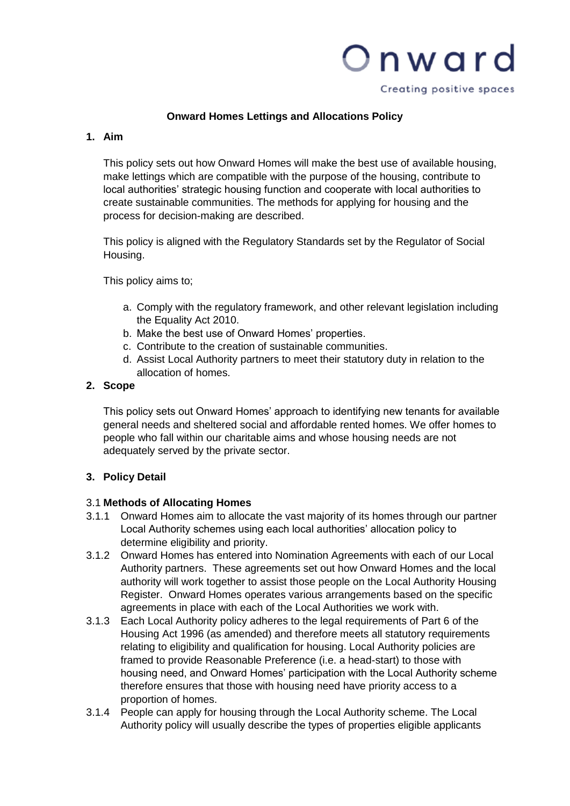

Creating positive spaces

## **Onward Homes Lettings and Allocations Policy**

## **1. Aim**

This policy sets out how Onward Homes will make the best use of available housing, make lettings which are compatible with the purpose of the housing, contribute to local authorities' strategic housing function and cooperate with local authorities to create sustainable communities. The methods for applying for housing and the process for decision-making are described.

This policy is aligned with the Regulatory Standards set by the Regulator of Social Housing.

This policy aims to;

- a. Comply with the regulatory framework, and other relevant legislation including the Equality Act 2010.
- b. Make the best use of Onward Homes' properties.
- c. Contribute to the creation of sustainable communities.
- d. Assist Local Authority partners to meet their statutory duty in relation to the allocation of homes.

# **2. Scope**

This policy sets out Onward Homes' approach to identifying new tenants for available general needs and sheltered social and affordable rented homes. We offer homes to people who fall within our charitable aims and whose housing needs are not adequately served by the private sector.

## **3. Policy Detail**

## 3.1 **Methods of Allocating Homes**

- 3.1.1 Onward Homes aim to allocate the vast majority of its homes through our partner Local Authority schemes using each local authorities' allocation policy to determine eligibility and priority.
- 3.1.2 Onward Homes has entered into Nomination Agreements with each of our Local Authority partners. These agreements set out how Onward Homes and the local authority will work together to assist those people on the Local Authority Housing Register. Onward Homes operates various arrangements based on the specific agreements in place with each of the Local Authorities we work with.
- 3.1.3 Each Local Authority policy adheres to the legal requirements of Part 6 of the Housing Act 1996 (as amended) and therefore meets all statutory requirements relating to eligibility and qualification for housing. Local Authority policies are framed to provide Reasonable Preference (i.e. a head-start) to those with housing need, and Onward Homes' participation with the Local Authority scheme therefore ensures that those with housing need have priority access to a proportion of homes.
- 3.1.4 People can apply for housing through the Local Authority scheme. The Local Authority policy will usually describe the types of properties eligible applicants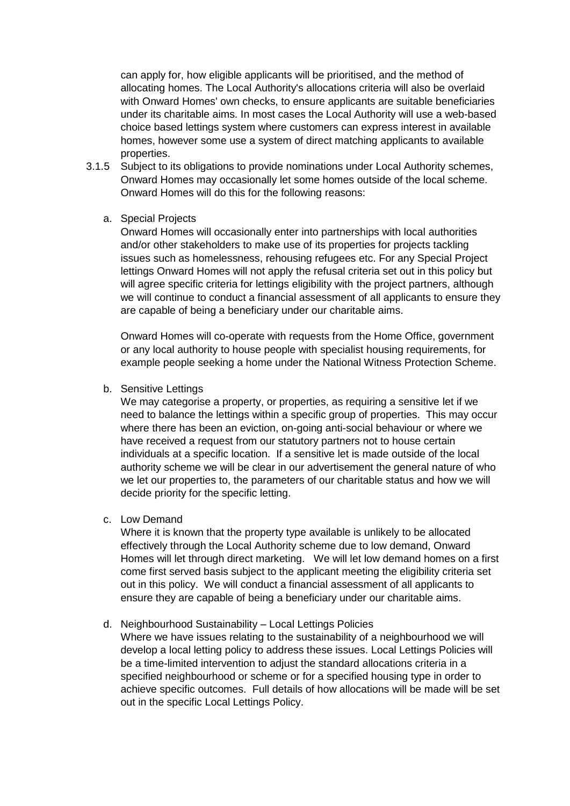can apply for, how eligible applicants will be prioritised, and the method of allocating homes. The Local Authority's allocations criteria will also be overlaid with Onward Homes' own checks, to ensure applicants are suitable beneficiaries under its charitable aims. In most cases the Local Authority will use a web-based choice based lettings system where customers can express interest in available homes, however some use a system of direct matching applicants to available properties.

3.1.5 Subject to its obligations to provide nominations under Local Authority schemes, Onward Homes may occasionally let some homes outside of the local scheme. Onward Homes will do this for the following reasons:

#### a. Special Projects

Onward Homes will occasionally enter into partnerships with local authorities and/or other stakeholders to make use of its properties for projects tackling issues such as homelessness, rehousing refugees etc. For any Special Project lettings Onward Homes will not apply the refusal criteria set out in this policy but will agree specific criteria for lettings eligibility with the project partners, although we will continue to conduct a financial assessment of all applicants to ensure they are capable of being a beneficiary under our charitable aims.

Onward Homes will co-operate with requests from the Home Office, government or any local authority to house people with specialist housing requirements, for example people seeking a home under the National Witness Protection Scheme.

b. Sensitive Lettings

We may categorise a property, or properties, as requiring a sensitive let if we need to balance the lettings within a specific group of properties. This may occur where there has been an eviction, on-going anti-social behaviour or where we have received a request from our statutory partners not to house certain individuals at a specific location. If a sensitive let is made outside of the local authority scheme we will be clear in our advertisement the general nature of who we let our properties to, the parameters of our charitable status and how we will decide priority for the specific letting.

c. Low Demand

Where it is known that the property type available is unlikely to be allocated effectively through the Local Authority scheme due to low demand, Onward Homes will let through direct marketing. We will let low demand homes on a first come first served basis subject to the applicant meeting the eligibility criteria set out in this policy. We will conduct a financial assessment of all applicants to ensure they are capable of being a beneficiary under our charitable aims.

## d. Neighbourhood Sustainability – Local Lettings Policies

Where we have issues relating to the sustainability of a neighbourhood we will develop a local letting policy to address these issues. Local Lettings Policies will be a time-limited intervention to adjust the standard allocations criteria in a specified neighbourhood or scheme or for a specified housing type in order to achieve specific outcomes. Full details of how allocations will be made will be set out in the specific Local Lettings Policy.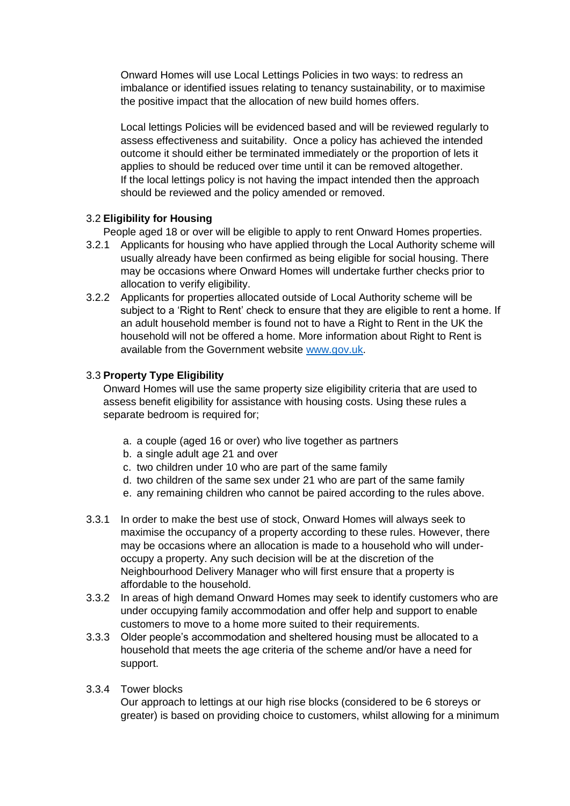Onward Homes will use Local Lettings Policies in two ways: to redress an imbalance or identified issues relating to tenancy sustainability, or to maximise the positive impact that the allocation of new build homes offers.

Local lettings Policies will be evidenced based and will be reviewed regularly to assess effectiveness and suitability. Once a policy has achieved the intended outcome it should either be terminated immediately or the proportion of lets it applies to should be reduced over time until it can be removed altogether. If the local lettings policy is not having the impact intended then the approach should be reviewed and the policy amended or removed.

# 3.2 **Eligibility for Housing**

People aged 18 or over will be eligible to apply to rent Onward Homes properties.

- 3.2.1 Applicants for housing who have applied through the Local Authority scheme will usually already have been confirmed as being eligible for social housing. There may be occasions where Onward Homes will undertake further checks prior to allocation to verify eligibility.
- 3.2.2 Applicants for properties allocated outside of Local Authority scheme will be subject to a 'Right to Rent' check to ensure that they are eligible to rent a home. If an adult household member is found not to have a Right to Rent in the UK the household will not be offered a home. More information about Right to Rent is available from the Government website [www.gov.uk.](http://www.gov.uk/)

# 3.3 **Property Type Eligibility**

Onward Homes will use the same property size eligibility criteria that are used to assess benefit eligibility for assistance with housing costs. Using these rules a separate bedroom is required for;

- a. a couple (aged 16 or over) who live together as partners
- b. a single adult age 21 and over
- c. two children under 10 who are part of the same family
- d. two children of the same sex under 21 who are part of the same family
- e. any remaining children who cannot be paired according to the rules above.
- 3.3.1 In order to make the best use of stock, Onward Homes will always seek to maximise the occupancy of a property according to these rules. However, there may be occasions where an allocation is made to a household who will underoccupy a property. Any such decision will be at the discretion of the Neighbourhood Delivery Manager who will first ensure that a property is affordable to the household.
- 3.3.2 In areas of high demand Onward Homes may seek to identify customers who are under occupying family accommodation and offer help and support to enable customers to move to a home more suited to their requirements.
- 3.3.3 Older people's accommodation and sheltered housing must be allocated to a household that meets the age criteria of the scheme and/or have a need for support.
- 3.3.4 Tower blocks

Our approach to lettings at our high rise blocks (considered to be 6 storeys or greater) is based on providing choice to customers, whilst allowing for a minimum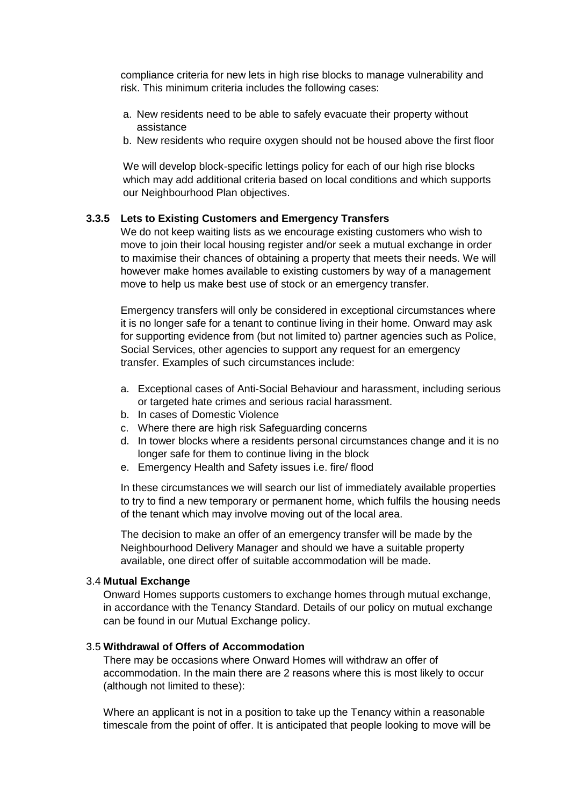compliance criteria for new lets in high rise blocks to manage vulnerability and risk. This minimum criteria includes the following cases:

- a. New residents need to be able to safely evacuate their property without assistance
- b. New residents who require oxygen should not be housed above the first floor

We will develop block-specific lettings policy for each of our high rise blocks which may add additional criteria based on local conditions and which supports our Neighbourhood Plan objectives.

#### **3.3.5 Lets to Existing Customers and Emergency Transfers**

We do not keep waiting lists as we encourage existing customers who wish to move to join their local housing register and/or seek a mutual exchange in order to maximise their chances of obtaining a property that meets their needs. We will however make homes available to existing customers by way of a management move to help us make best use of stock or an emergency transfer.

Emergency transfers will only be considered in exceptional circumstances where it is no longer safe for a tenant to continue living in their home. Onward may ask for supporting evidence from (but not limited to) partner agencies such as Police, Social Services, other agencies to support any request for an emergency transfer. Examples of such circumstances include:

- a. Exceptional cases of Anti-Social Behaviour and harassment, including serious or targeted hate crimes and serious racial harassment.
- b. In cases of Domestic Violence
- c. Where there are high risk Safeguarding concerns
- d. In tower blocks where a residents personal circumstances change and it is no longer safe for them to continue living in the block
- e. Emergency Health and Safety issues i.e. fire/ flood

In these circumstances we will search our list of immediately available properties to try to find a new temporary or permanent home, which fulfils the housing needs of the tenant which may involve moving out of the local area.

The decision to make an offer of an emergency transfer will be made by the Neighbourhood Delivery Manager and should we have a suitable property available, one direct offer of suitable accommodation will be made.

### 3.4 **Mutual Exchange**

Onward Homes supports customers to exchange homes through mutual exchange, in accordance with the Tenancy Standard. Details of our policy on mutual exchange can be found in our Mutual Exchange policy.

# 3.5 **Withdrawal of Offers of Accommodation**

There may be occasions where Onward Homes will withdraw an offer of accommodation. In the main there are 2 reasons where this is most likely to occur (although not limited to these):

Where an applicant is not in a position to take up the Tenancy within a reasonable timescale from the point of offer. It is anticipated that people looking to move will be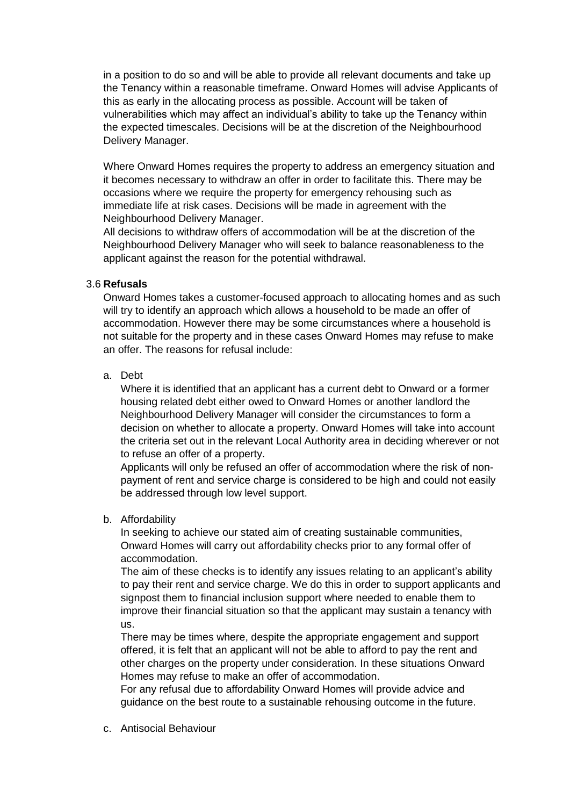in a position to do so and will be able to provide all relevant documents and take up the Tenancy within a reasonable timeframe. Onward Homes will advise Applicants of this as early in the allocating process as possible. Account will be taken of vulnerabilities which may affect an individual's ability to take up the Tenancy within the expected timescales. Decisions will be at the discretion of the Neighbourhood Delivery Manager.

Where Onward Homes requires the property to address an emergency situation and it becomes necessary to withdraw an offer in order to facilitate this. There may be occasions where we require the property for emergency rehousing such as immediate life at risk cases. Decisions will be made in agreement with the Neighbourhood Delivery Manager.

All decisions to withdraw offers of accommodation will be at the discretion of the Neighbourhood Delivery Manager who will seek to balance reasonableness to the applicant against the reason for the potential withdrawal.

## 3.6 **Refusals**

Onward Homes takes a customer-focused approach to allocating homes and as such will try to identify an approach which allows a household to be made an offer of accommodation. However there may be some circumstances where a household is not suitable for the property and in these cases Onward Homes may refuse to make an offer. The reasons for refusal include:

a. Debt

Where it is identified that an applicant has a current debt to Onward or a former housing related debt either owed to Onward Homes or another landlord the Neighbourhood Delivery Manager will consider the circumstances to form a decision on whether to allocate a property. Onward Homes will take into account the criteria set out in the relevant Local Authority area in deciding wherever or not to refuse an offer of a property.

Applicants will only be refused an offer of accommodation where the risk of nonpayment of rent and service charge is considered to be high and could not easily be addressed through low level support.

#### b. Affordability

In seeking to achieve our stated aim of creating sustainable communities, Onward Homes will carry out affordability checks prior to any formal offer of accommodation.

The aim of these checks is to identify any issues relating to an applicant's ability to pay their rent and service charge. We do this in order to support applicants and signpost them to financial inclusion support where needed to enable them to improve their financial situation so that the applicant may sustain a tenancy with us.

There may be times where, despite the appropriate engagement and support offered, it is felt that an applicant will not be able to afford to pay the rent and other charges on the property under consideration. In these situations Onward Homes may refuse to make an offer of accommodation.

For any refusal due to affordability Onward Homes will provide advice and guidance on the best route to a sustainable rehousing outcome in the future.

c. Antisocial Behaviour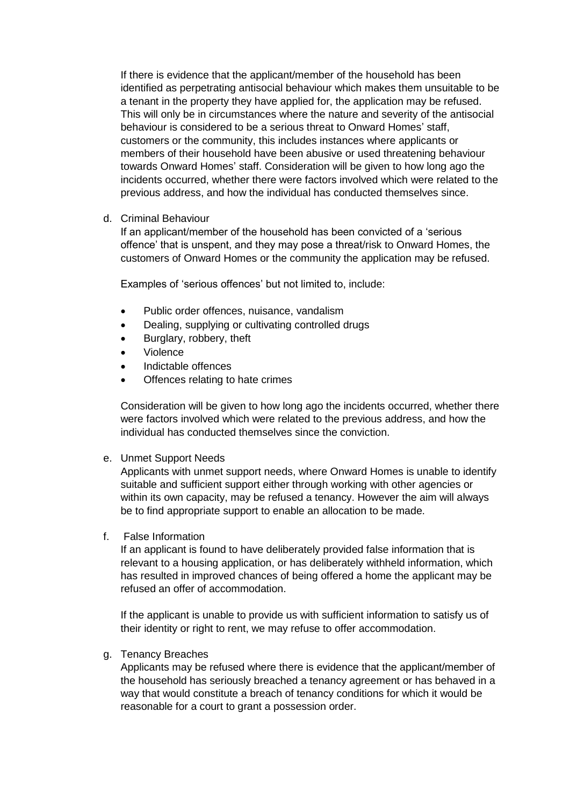If there is evidence that the applicant/member of the household has been identified as perpetrating antisocial behaviour which makes them unsuitable to be a tenant in the property they have applied for, the application may be refused. This will only be in circumstances where the nature and severity of the antisocial behaviour is considered to be a serious threat to Onward Homes' staff, customers or the community, this includes instances where applicants or members of their household have been abusive or used threatening behaviour towards Onward Homes' staff. Consideration will be given to how long ago the incidents occurred, whether there were factors involved which were related to the previous address, and how the individual has conducted themselves since.

#### d. Criminal Behaviour

If an applicant/member of the household has been convicted of a 'serious offence' that is unspent, and they may pose a threat/risk to Onward Homes, the customers of Onward Homes or the community the application may be refused.

Examples of 'serious offences' but not limited to, include:

- Public order offences, nuisance, vandalism
- Dealing, supplying or cultivating controlled drugs
- Burglary, robbery, theft
- Violence
- Indictable offences
- Offences relating to hate crimes

Consideration will be given to how long ago the incidents occurred, whether there were factors involved which were related to the previous address, and how the individual has conducted themselves since the conviction.

e. Unmet Support Needs

Applicants with unmet support needs, where Onward Homes is unable to identify suitable and sufficient support either through working with other agencies or within its own capacity, may be refused a tenancy. However the aim will always be to find appropriate support to enable an allocation to be made.

f. False Information

If an applicant is found to have deliberately provided false information that is relevant to a housing application, or has deliberately withheld information, which has resulted in improved chances of being offered a home the applicant may be refused an offer of accommodation.

If the applicant is unable to provide us with sufficient information to satisfy us of their identity or right to rent, we may refuse to offer accommodation.

#### g. Tenancy Breaches

Applicants may be refused where there is evidence that the applicant/member of the household has seriously breached a tenancy agreement or has behaved in a way that would constitute a breach of tenancy conditions for which it would be reasonable for a court to grant a possession order.